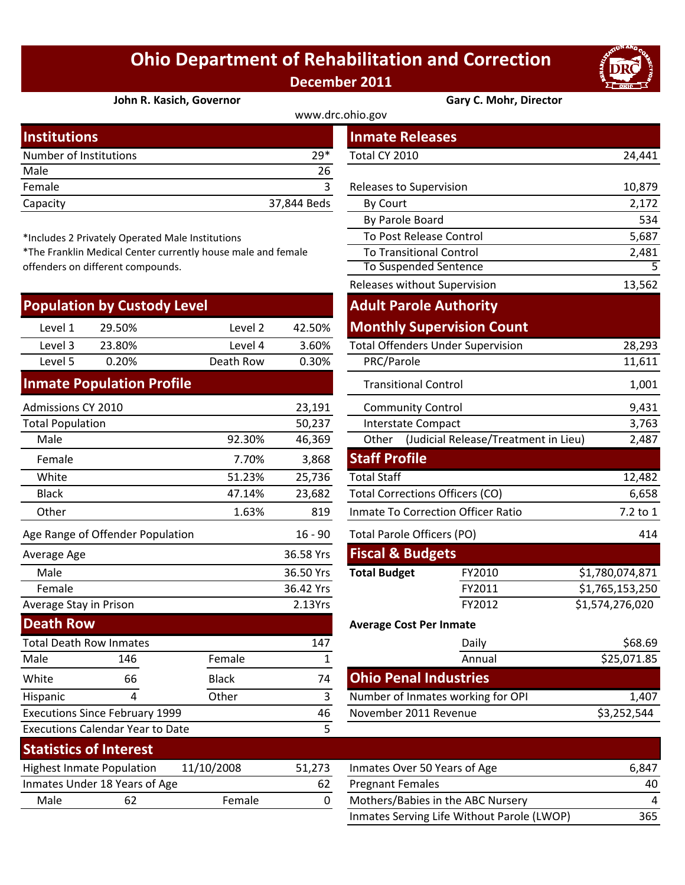## **Ohio Department of Rehabilitation and Correction December 2011**

By Parole Board

 To Post Release Control To Transitional Control

Releases without Supervision



2,172 534 5,687

13,562

2,481

## **John R. Kasich, Governor Gary C. Mohr, Director**

To Suspended Sentence 5

| www.drc.ohio.gov       |             |                         |        |  |  |  |
|------------------------|-------------|-------------------------|--------|--|--|--|
| <b>Institutions</b>    |             | <b>Inmate Releases</b>  |        |  |  |  |
| Number of Institutions | $29*$       | Total CY 2010           | 24,441 |  |  |  |
| Male                   | 26          |                         |        |  |  |  |
| Female                 |             | Releases to Supervision | 10,879 |  |  |  |
| Capacity               | 37,844 Beds | By Court                | 2,172  |  |  |  |
|                        |             |                         |        |  |  |  |

\*Includes 2 Privately Operated Male Institutions

\*The Franklin Medical Center currently house male and female offenders on different compounds.

| <b>Population by Custody Level</b> |        |           |        | <b>Adult Parole Authority</b>            |        |  |
|------------------------------------|--------|-----------|--------|------------------------------------------|--------|--|
| Level 1                            | 29.50% | Level 2   | 42.50% | <b>Monthly Supervision Count</b>         |        |  |
| Level 3                            | 23.80% | Level 4   | 3.60%  | <b>Total Offenders Under Supervision</b> | 28,293 |  |
| Level 5                            | 0.20%  | Death Row | 0.30%  | PRC/Parole                               | 11,611 |  |
|                                    |        |           |        |                                          |        |  |

## **Inmate Population Profile**

Executions Since February 1999

| Admissions CY 2010<br>23,191      |              |                            | <b>Community Control</b>               | 9,431                                |                 |
|-----------------------------------|--------------|----------------------------|----------------------------------------|--------------------------------------|-----------------|
| 50,237<br><b>Total Population</b> |              |                            | Interstate Compact                     | 3,763                                |                 |
| Male                              | 92.30%       | 46,369                     | Other                                  | (Judicial Release/Treatment in Lieu) | 2,487           |
| Female                            | 7.70%        | 3,868                      | <b>Staff Profile</b>                   |                                      |                 |
| White                             | 51.23%       | 25,736                     | <b>Total Staff</b>                     |                                      | 12,482          |
| Black                             | 47.14%       | 23,682                     | <b>Total Corrections Officers (CO)</b> |                                      | 6,658           |
| Other                             | 1.63%        | 819                        | Inmate To Correction Officer Ratio     | 7.2 to 1                             |                 |
| Age Range of Offender Population  | $16 - 90$    | Total Parole Officers (PO) |                                        | 414                                  |                 |
| Average Age                       |              | 36.58 Yrs                  | <b>Fiscal &amp; Budgets</b>            |                                      |                 |
| Male                              |              | 36.50 Yrs                  | <b>Total Budget</b>                    | FY2010                               | \$1,780,074,871 |
| Female                            |              | 36.42 Yrs                  |                                        | FY2011                               | \$1,765,153,250 |
| Average Stay in Prison            |              | 2.13Yrs                    |                                        | FY2012                               | \$1,574,276,020 |
| <b>Death Row</b>                  |              |                            | <b>Average Cost Per Inmate</b>         |                                      |                 |
| <b>Total Death Row Inmates</b>    |              | 147                        |                                        | Daily                                | \$68.69         |
| Male<br>146                       | Female       |                            |                                        | Annual                               | \$25,071.85     |
| White<br>66                       | <b>Black</b> | 74                         | <b>Ohio Penal Industries</b>           |                                      |                 |

|         |              |                                           |                                        | <b>Adult Parole Authority</b>            |                 |  |
|---------|--------------|-------------------------------------------|----------------------------------------|------------------------------------------|-----------------|--|
| Level 2 | 42.50%       |                                           |                                        | <b>Monthly Supervision Count</b>         |                 |  |
| Level 4 | 3.60%        |                                           |                                        | <b>Total Offenders Under Supervision</b> | 28,293          |  |
| th Row  | 0.30%        | PRC/Parole                                |                                        |                                          | 11,611          |  |
|         |              |                                           |                                        | <b>Transitional Control</b>              | 1,001           |  |
|         | 23,191       |                                           |                                        | <b>Community Control</b>                 | 9,431           |  |
|         | 50,237       | <b>Interstate Compact</b>                 |                                        |                                          | 3,763           |  |
| 92.30%  | 46,369       | Other                                     |                                        | (Judicial Release/Treatment in Lieu)     | 2,487           |  |
| 7.70%   | 3,868        | <b>Staff Profile</b>                      |                                        |                                          |                 |  |
| 51.23%  | 25,736       | <b>Total Staff</b>                        |                                        |                                          | 12,482          |  |
| 47.14%  | 23,682       |                                           | <b>Total Corrections Officers (CO)</b> |                                          |                 |  |
| 1.63%   | 819          | <b>Inmate To Correction Officer Ratio</b> |                                        |                                          | 7.2 to 1        |  |
|         | $16 - 90$    | <b>Total Parole Officers (PO)</b>         |                                        |                                          | 414             |  |
|         | 36.58 Yrs    | <b>Fiscal &amp; Budgets</b>               |                                        |                                          |                 |  |
|         | 36.50 Yrs    | <b>Total Budget</b>                       |                                        | FY2010                                   | \$1,780,074,871 |  |
|         | 36.42 Yrs    |                                           |                                        | FY2011                                   | \$1,765,153,250 |  |
|         | 2.13Yrs      |                                           |                                        | FY2012                                   | \$1,574,276,020 |  |
|         |              | <b>Average Cost Per Inmate</b>            |                                        |                                          |                 |  |
|         | 147          |                                           |                                        | Daily                                    | \$68.69         |  |
| ale     | $\mathbf{1}$ |                                           |                                        | Annual                                   | \$25,071.85     |  |
| :k      | 74           |                                           |                                        | <b>Ohio Penal Industries</b>             |                 |  |
| er      | 3            | Number of Inmates working for OPI         |                                        | 1,407                                    |                 |  |
|         | 46           |                                           |                                        | November 2011 Revenue                    | \$3,252,544     |  |
|         | 5            |                                           |                                        |                                          |                 |  |

|                                  | <b>Executions Calendar Year to Date</b> |            |        |                              |  |
|----------------------------------|-----------------------------------------|------------|--------|------------------------------|--|
| <b>Statistics of Interest</b>    |                                         |            |        |                              |  |
| <b>Highest Inmate Population</b> |                                         | 11/10/2008 | 51.273 | Inmates Over 50 Years of Age |  |
|                                  | Inmates Under 18 Years of Age           |            | 62     | <b>Pregnant Females</b>      |  |
| Male                             |                                         | Female     |        | Mothers/Babies in the ABC N  |  |

Hispanic 4 Other 3

| Statistics of Interest           |                               |            |        |                                            |       |
|----------------------------------|-------------------------------|------------|--------|--------------------------------------------|-------|
| <b>Highest Inmate Population</b> |                               | 11/10/2008 | 51.273 | Inmates Over 50 Years of Age               | 6.847 |
|                                  | Inmates Under 18 Years of Age |            | 62     | <b>Pregnant Females</b>                    | 40    |
| Male                             | 62                            | Female     |        | Mothers/Babies in the ABC Nursery          | Δ     |
|                                  |                               |            |        | Inmates Serving Life Without Parole (LWOP) | 365   |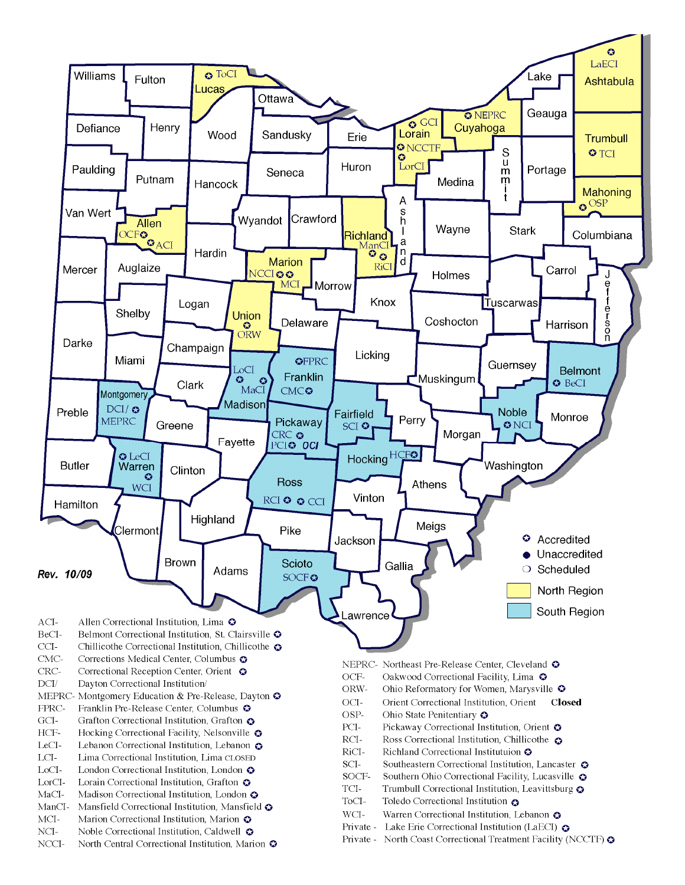